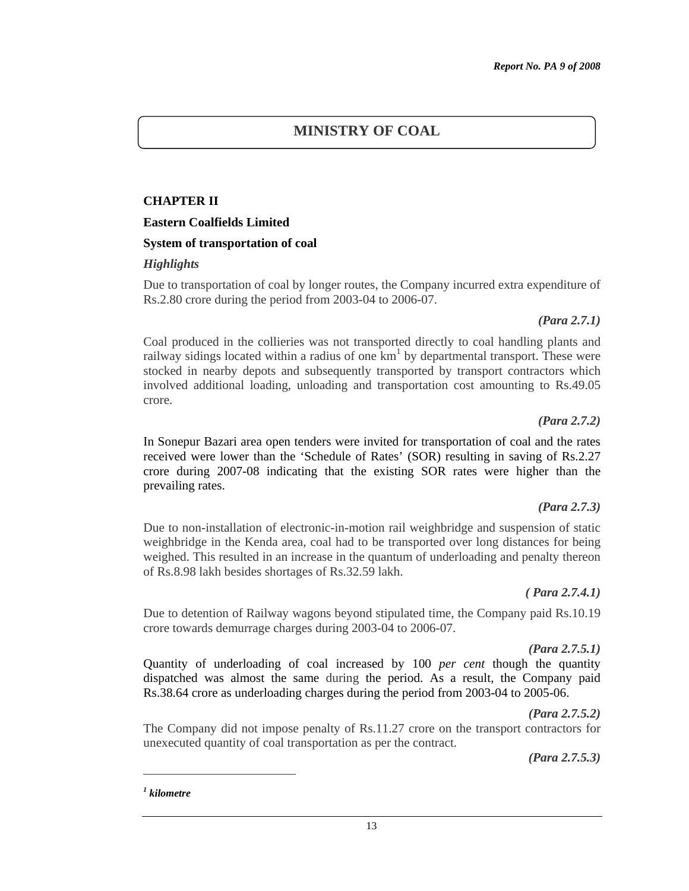## The Company did not impose penalty of Rs.11.27 crore on the transport contractors for unexecuted quantity of coal transportation as per the contract.

13

*(Para 2.7.5.3)* 

*(Para 2.7.5.2)* 

*1 kilometre* 

 $\overline{a}$ 

# **MINISTRY OF COAL**

## **CHAPTER II**

#### **Eastern Coalfields Limited**

#### **System of transportation of coal**

#### *Highlights*

Due to transportation of coal by longer routes, the Company incurred extra expenditure of Rs.2.80 crore during the period from 2003-04 to 2006-07.

#### *(Para 2.7.1)*

Coal produced in the collieries was not transported directly to coal handling plants and railway sidings located within a radius of one  $km<sup>1</sup>$  by departmental transport. These were stocked in nearby depots and subsequently transported by transport contractors which involved additional loading, unloading and transportation cost amounting to Rs.49.05 crore.

#### *(Para 2.7.2)*

In Sonepur Bazari area open tenders were invited for transportation of coal and the rates received were lower than the 'Schedule of Rates' (SOR) resulting in saving of Rs.2.27 crore during 2007-08 indicating that the existing SOR rates were higher than the prevailing rates.

## *(Para 2.7.3)*

Due to non-installation of electronic-in-motion rail weighbridge and suspension of static weighbridge in the Kenda area, coal had to be transported over long distances for being weighed. This resulted in an increase in the quantum of underloading and penalty thereon of Rs.8.98 lakh besides shortages of Rs.32.59 lakh.

## *( Para 2.7.4.1)*

Due to detention of Railway wagons beyond stipulated time, the Company paid Rs.10.19 crore towards demurrage charges during 2003-04 to 2006-07.

Quantity of underloading of coal increased by 100 *per cent* though the quantity dispatched was almost the same during the period. As a result, the Company paid Rs.38.64 crore as underloading charges during the period from 2003-04 to 2005-06.

## *(Para 2.7.5.1)*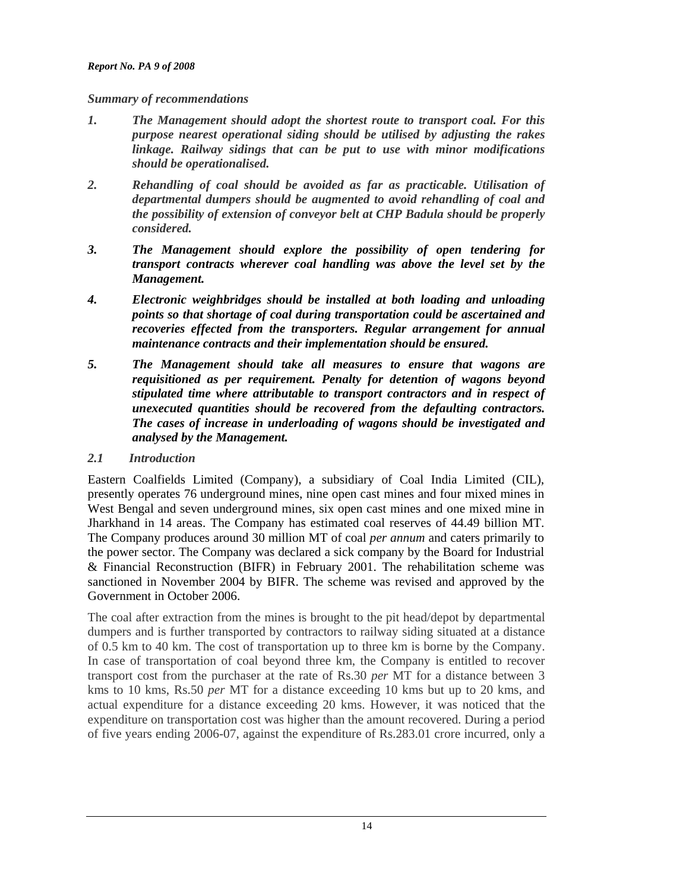#### *Summary of recommendations*

- *1. The Management should adopt the shortest route to transport coal. For this purpose nearest operational siding should be utilised by adjusting the rakes linkage. Railway sidings that can be put to use with minor modifications should be operationalised.*
- *2. Rehandling of coal should be avoided as far as practicable. Utilisation of departmental dumpers should be augmented to avoid rehandling of coal and the possibility of extension of conveyor belt at CHP Badula should be properly considered.*
- *3. The Management should explore the possibility of open tendering for transport contracts wherever coal handling was above the level set by the Management.*
- *4. Electronic weighbridges should be installed at both loading and unloading points so that shortage of coal during transportation could be ascertained and recoveries effected from the transporters. Regular arrangement for annual maintenance contracts and their implementation should be ensured.*
- *5. The Management should take all measures to ensure that wagons are requisitioned as per requirement. Penalty for detention of wagons beyond stipulated time where attributable to transport contractors and in respect of unexecuted quantities should be recovered from the defaulting contractors. The cases of increase in underloading of wagons should be investigated and analysed by the Management.*
- *2.1 Introduction*

Eastern Coalfields Limited (Company), a subsidiary of Coal India Limited (CIL), presently operates 76 underground mines, nine open cast mines and four mixed mines in West Bengal and seven underground mines, six open cast mines and one mixed mine in Jharkhand in 14 areas. The Company has estimated coal reserves of 44.49 billion MT. The Company produces around 30 million MT of coal *per annum* and caters primarily to the power sector. The Company was declared a sick company by the Board for Industrial & Financial Reconstruction (BIFR) in February 2001. The rehabilitation scheme was sanctioned in November 2004 by BIFR. The scheme was revised and approved by the Government in October 2006.

The coal after extraction from the mines is brought to the pit head/depot by departmental dumpers and is further transported by contractors to railway siding situated at a distance of 0.5 km to 40 km. The cost of transportation up to three km is borne by the Company. In case of transportation of coal beyond three km, the Company is entitled to recover transport cost from the purchaser at the rate of Rs.30 *per* MT for a distance between 3 kms to 10 kms, Rs.50 *per* MT for a distance exceeding 10 kms but up to 20 kms, and actual expenditure for a distance exceeding 20 kms. However, it was noticed that the expenditure on transportation cost was higher than the amount recovered. During a period of five years ending 2006-07, against the expenditure of Rs.283.01 crore incurred, only a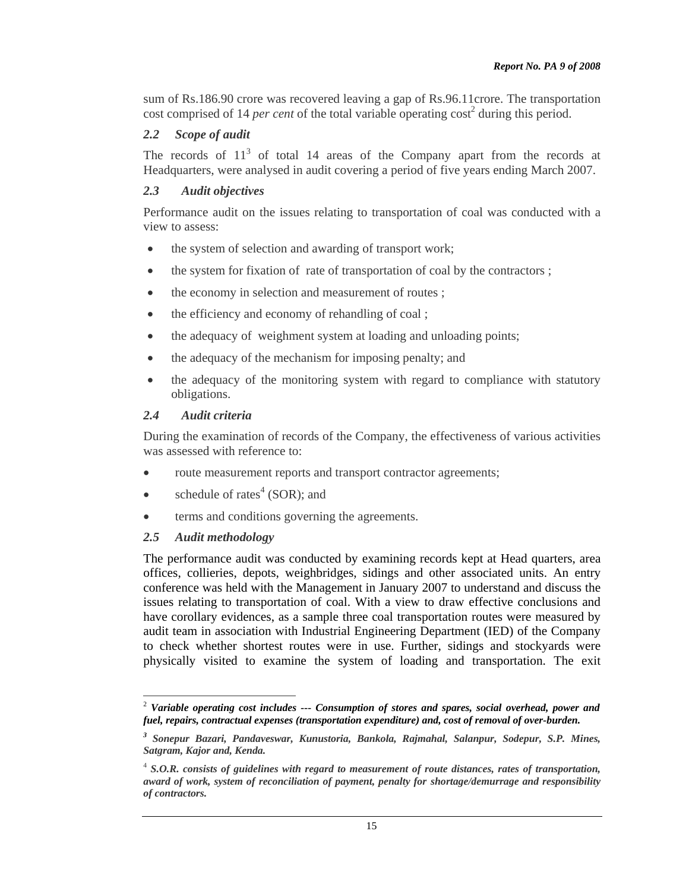sum of Rs.186.90 crore was recovered leaving a gap of Rs.96.11crore. The transportation cost comprised of 14 *per cent* of the total variable operating cost<sup>2</sup> during this period.

# *2.2 Scope of audit*

The records of  $11<sup>3</sup>$  of total 14 areas of the Company apart from the records at Headquarters, were analysed in audit covering a period of five years ending March 2007.

# *2.3 Audit objectives*

Performance audit on the issues relating to transportation of coal was conducted with a view to assess:

- the system of selection and awarding of transport work;
- the system for fixation of rate of transportation of coal by the contractors ;
- the economy in selection and measurement of routes ;
- the efficiency and economy of rehandling of coal;
- the adequacy of weighment system at loading and unloading points;
- the adequacy of the mechanism for imposing penalty; and
- the adequacy of the monitoring system with regard to compliance with statutory obligations.

## *2.4 Audit criteria*

During the examination of records of the Company, the effectiveness of various activities was assessed with reference to:

- route measurement reports and transport contractor agreements;
- schedule of rates<sup>4</sup> (SOR); and
- terms and conditions governing the agreements.

## *2.5 Audit methodology*

The performance audit was conducted by examining records kept at Head quarters, area offices, collieries, depots, weighbridges, sidings and other associated units. An entry conference was held with the Management in January 2007 to understand and discuss the issues relating to transportation of coal. With a view to draw effective conclusions and have corollary evidences, as a sample three coal transportation routes were measured by audit team in association with Industrial Engineering Department (IED) of the Company to check whether shortest routes were in use. Further, sidings and stockyards were physically visited to examine the system of loading and transportation. The exit

 2  *Variable operating cost includes --- Consumption of stores and spares, social overhead, power and fuel, repairs, contractual expenses (transportation expenditure) and, cost of removal of over-burden.* 

*<sup>3</sup> Sonepur Bazari, Pandaveswar, Kunustoria, Bankola, Rajmahal, Salanpur, Sodepur, S.P. Mines, Satgram, Kajor and, Kenda.* 

<sup>&</sup>lt;sup>4</sup> S.O.R. consists of guidelines with regard to measurement of route distances, rates of transportation, *award of work, system of reconciliation of payment, penalty for shortage/demurrage and responsibility of contractors.*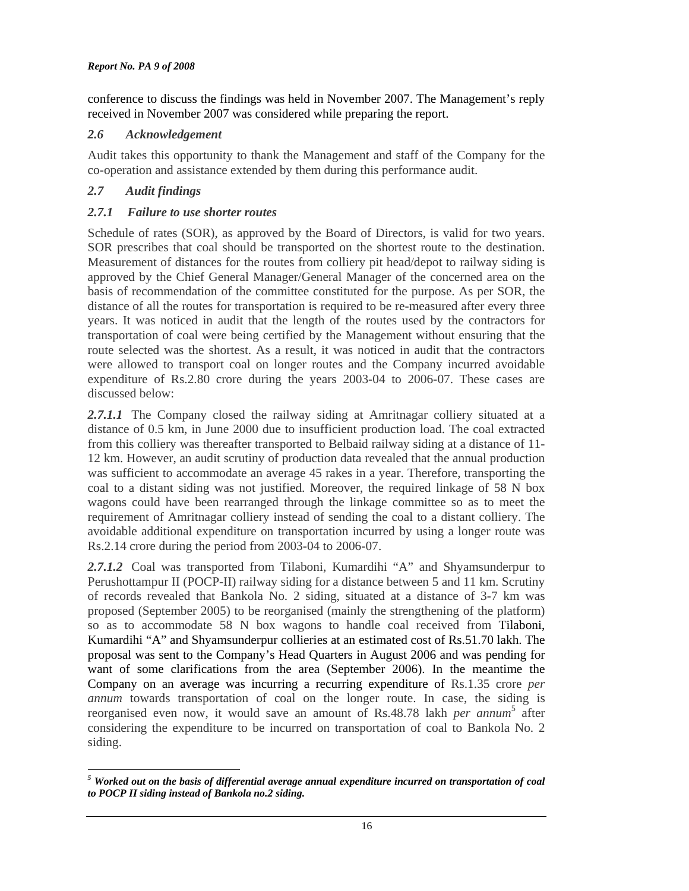conference to discuss the findings was held in November 2007. The Management's reply received in November 2007 was considered while preparing the report.

## *2.6 Acknowledgement*

Audit takes this opportunity to thank the Management and staff of the Company for the co-operation and assistance extended by them during this performance audit.

# *2.7 Audit findings*

# *2.7.1 Failure to use shorter routes*

Schedule of rates (SOR), as approved by the Board of Directors, is valid for two years. SOR prescribes that coal should be transported on the shortest route to the destination. Measurement of distances for the routes from colliery pit head/depot to railway siding is approved by the Chief General Manager/General Manager of the concerned area on the basis of recommendation of the committee constituted for the purpose. As per SOR, the distance of all the routes for transportation is required to be re-measured after every three years. It was noticed in audit that the length of the routes used by the contractors for transportation of coal were being certified by the Management without ensuring that the route selected was the shortest. As a result, it was noticed in audit that the contractors were allowed to transport coal on longer routes and the Company incurred avoidable expenditure of Rs.2.80 crore during the years 2003-04 to 2006-07. These cases are discussed below:

2.7.1.1 The Company closed the railway siding at Amritnagar colliery situated at a distance of 0.5 km, in June 2000 due to insufficient production load. The coal extracted from this colliery was thereafter transported to Belbaid railway siding at a distance of 11- 12 km. However, an audit scrutiny of production data revealed that the annual production was sufficient to accommodate an average 45 rakes in a year. Therefore, transporting the coal to a distant siding was not justified. Moreover, the required linkage of 58 N box wagons could have been rearranged through the linkage committee so as to meet the requirement of Amritnagar colliery instead of sending the coal to a distant colliery. The avoidable additional expenditure on transportation incurred by using a longer route was Rs.2.14 crore during the period from 2003-04 to 2006-07.

*2.7.1.2*Coal was transported from Tilaboni, Kumardihi "A" and Shyamsunderpur to Perushottampur II (POCP-II) railway siding for a distance between 5 and 11 km. Scrutiny of records revealed that Bankola No. 2 siding, situated at a distance of 3-7 km was proposed (September 2005) to be reorganised (mainly the strengthening of the platform) so as to accommodate 58 N box wagons to handle coal received from Tilaboni, Kumardihi "A" and Shyamsunderpur collieries at an estimated cost of Rs.51.70 lakh. The proposal was sent to the Company's Head Quarters in August 2006 and was pending for want of some clarifications from the area (September 2006). In the meantime the Company on an average was incurring a recurring expenditure of Rs.1.35 crore *per annum* towards transportation of coal on the longer route. In case, the siding is reorganised even now, it would save an amount of Rs.48.78 lakh *per annum*<sup>5</sup> after considering the expenditure to be incurred on transportation of coal to Bankola No. 2 siding.

 $\overline{a}$ *5 Worked out on the basis of differential average annual expenditure incurred on transportation of coal to POCP II siding instead of Bankola no.2 siding.*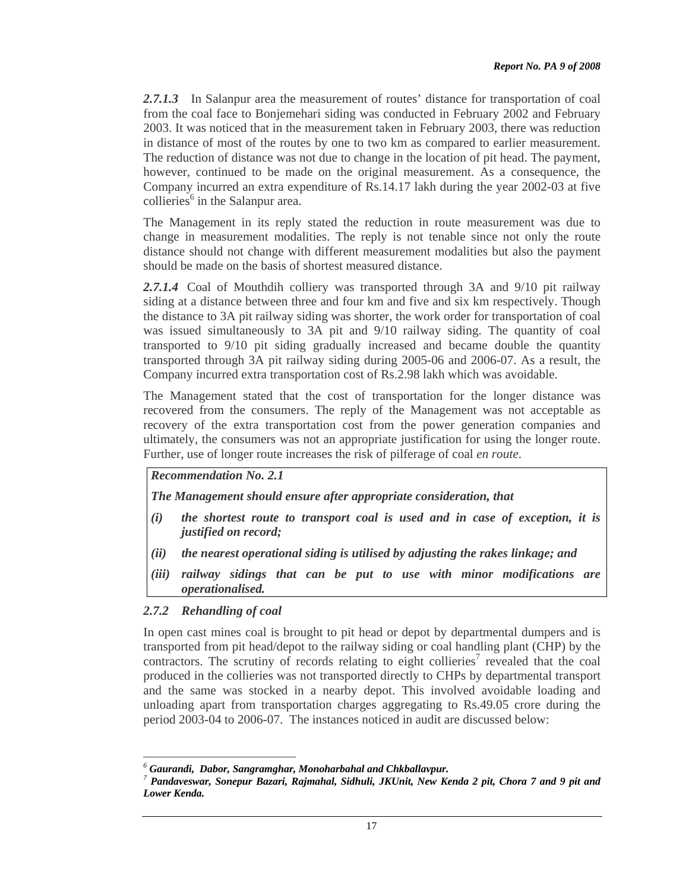*2.7.1.3*In Salanpur area the measurement of routes' distance for transportation of coal from the coal face to Bonjemehari siding was conducted in February 2002 and February 2003. It was noticed that in the measurement taken in February 2003, there was reduction in distance of most of the routes by one to two km as compared to earlier measurement. The reduction of distance was not due to change in the location of pit head. The payment, however, continued to be made on the original measurement. As a consequence, the Company incurred an extra expenditure of Rs.14.17 lakh during the year 2002-03 at five  $collieries<sup>6</sup>$  in the Salanpur area.

The Management in its reply stated the reduction in route measurement was due to change in measurement modalities. The reply is not tenable since not only the route distance should not change with different measurement modalities but also the payment should be made on the basis of shortest measured distance.

2.7.1.4 Coal of Mouthdih colliery was transported through 3A and 9/10 pit railway siding at a distance between three and four km and five and six km respectively. Though the distance to 3A pit railway siding was shorter, the work order for transportation of coal was issued simultaneously to 3A pit and 9/10 railway siding. The quantity of coal transported to 9/10 pit siding gradually increased and became double the quantity transported through 3A pit railway siding during 2005-06 and 2006-07. As a result, the Company incurred extra transportation cost of Rs.2.98 lakh which was avoidable.

The Management stated that the cost of transportation for the longer distance was recovered from the consumers. The reply of the Management was not acceptable as recovery of the extra transportation cost from the power generation companies and ultimately, the consumers was not an appropriate justification for using the longer route. Further, use of longer route increases the risk of pilferage of coal *en route*.

*Recommendation No. 2.1* 

*The Management should ensure after appropriate consideration, that* 

- *(i) the shortest route to transport coal is used and in case of exception, it is justified on record;*
- *(ii) the nearest operational siding is utilised by adjusting the rakes linkage; and*
- *(iii) railway sidings that can be put to use with minor modifications are operationalised.*

## *2.7.2 Rehandling of coal*

In open cast mines coal is brought to pit head or depot by departmental dumpers and is transported from pit head/depot to the railway siding or coal handling plant (CHP) by the  $contractors.$  The scrutiny of records relating to eight collieries<sup>7</sup> revealed that the coal produced in the collieries was not transported directly to CHPs by departmental transport and the same was stocked in a nearby depot. This involved avoidable loading and unloading apart from transportation charges aggregating to Rs.49.05 crore during the period 2003-04 to 2006-07. The instances noticed in audit are discussed below:

 $\overline{a}$ *6 Gaurandi, Dabor, Sangramghar, Monoharbahal and Chkballavpur. <sup>7</sup>*

*Pandaveswar, Sonepur Bazari, Rajmahal, Sidhuli, JKUnit, New Kenda 2 pit, Chora 7 and 9 pit and Lower Kenda.*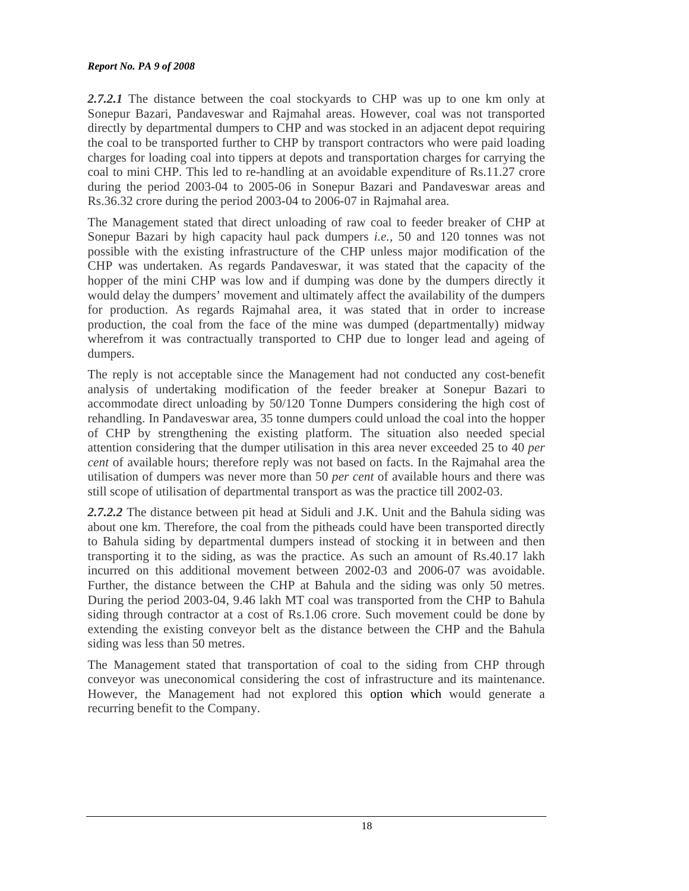#### *Report No. PA 9 of 2008*

2.7.2.1 The distance between the coal stockyards to CHP was up to one km only at Sonepur Bazari, Pandaveswar and Rajmahal areas. However, coal was not transported directly by departmental dumpers to CHP and was stocked in an adjacent depot requiring the coal to be transported further to CHP by transport contractors who were paid loading charges for loading coal into tippers at depots and transportation charges for carrying the coal to mini CHP. This led to re-handling at an avoidable expenditure of Rs.11.27 crore during the period 2003-04 to 2005-06 in Sonepur Bazari and Pandaveswar areas and Rs.36.32 crore during the period 2003-04 to 2006-07 in Rajmahal area.

The Management stated that direct unloading of raw coal to feeder breaker of CHP at Sonepur Bazari by high capacity haul pack dumpers *i.e.,* 50 and 120 tonnes was not possible with the existing infrastructure of the CHP unless major modification of the CHP was undertaken. As regards Pandaveswar, it was stated that the capacity of the hopper of the mini CHP was low and if dumping was done by the dumpers directly it would delay the dumpers' movement and ultimately affect the availability of the dumpers for production. As regards Rajmahal area, it was stated that in order to increase production, the coal from the face of the mine was dumped (departmentally) midway wherefrom it was contractually transported to CHP due to longer lead and ageing of dumpers.

The reply is not acceptable since the Management had not conducted any cost-benefit analysis of undertaking modification of the feeder breaker at Sonepur Bazari to accommodate direct unloading by 50/120 Tonne Dumpers considering the high cost of rehandling. In Pandaveswar area, 35 tonne dumpers could unload the coal into the hopper of CHP by strengthening the existing platform. The situation also needed special attention considering that the dumper utilisation in this area never exceeded 25 to 40 *per cent* of available hours; therefore reply was not based on facts. In the Rajmahal area the utilisation of dumpers was never more than 50 *per cent* of available hours and there was still scope of utilisation of departmental transport as was the practice till 2002-03.

*2.7.2.2* The distance between pit head at Siduli and J.K. Unit and the Bahula siding was about one km. Therefore, the coal from the pitheads could have been transported directly to Bahula siding by departmental dumpers instead of stocking it in between and then transporting it to the siding, as was the practice. As such an amount of Rs.40.17 lakh incurred on this additional movement between 2002-03 and 2006-07 was avoidable. Further, the distance between the CHP at Bahula and the siding was only 50 metres. During the period 2003-04, 9.46 lakh MT coal was transported from the CHP to Bahula siding through contractor at a cost of Rs.1.06 crore. Such movement could be done by extending the existing conveyor belt as the distance between the CHP and the Bahula siding was less than 50 metres.

The Management stated that transportation of coal to the siding from CHP through conveyor was uneconomical considering the cost of infrastructure and its maintenance. However, the Management had not explored this option which would generate a recurring benefit to the Company.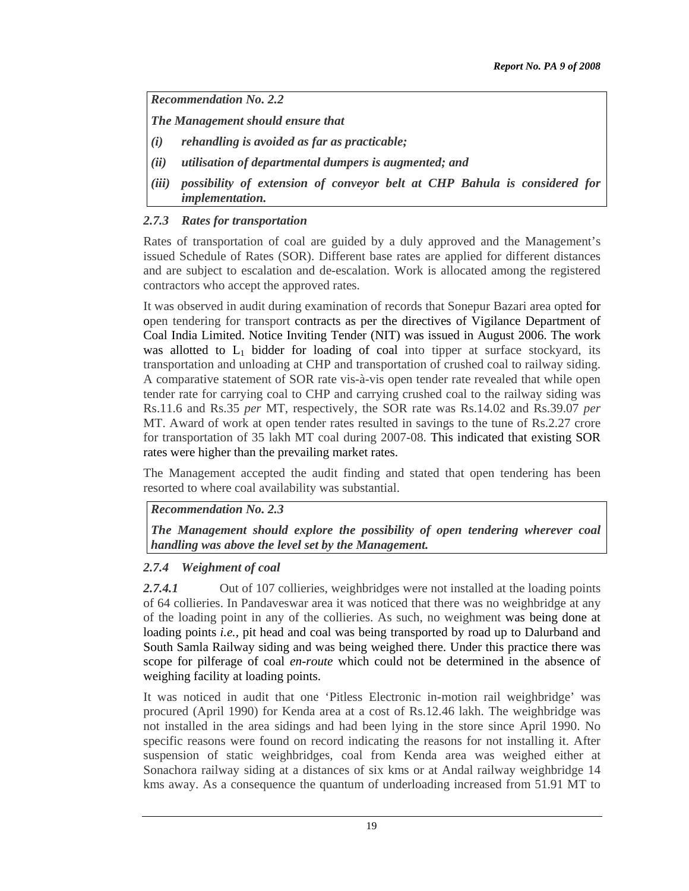*Recommendation No. 2.2* 

*The Management should ensure that* 

- *(i) rehandling is avoided as far as practicable;*
- *(ii) utilisation of departmental dumpers is augmented; and*
- *(iii) possibility of extension of conveyor belt at CHP Bahula is considered for implementation.*

# *2.7.3 Rates for transportation*

Rates of transportation of coal are guided by a duly approved and the Management's issued Schedule of Rates (SOR). Different base rates are applied for different distances and are subject to escalation and de-escalation. Work is allocated among the registered contractors who accept the approved rates.

It was observed in audit during examination of records that Sonepur Bazari area opted for open tendering for transport contracts as per the directives of Vigilance Department of Coal India Limited. Notice Inviting Tender (NIT) was issued in August 2006. The work was allotted to  $L_1$  bidder for loading of coal into tipper at surface stockyard, its transportation and unloading at CHP and transportation of crushed coal to railway siding. A comparative statement of SOR rate vis-à-vis open tender rate revealed that while open tender rate for carrying coal to CHP and carrying crushed coal to the railway siding was Rs.11.6 and Rs.35 *per* MT, respectively, the SOR rate was Rs.14.02 and Rs.39.07 *per* MT. Award of work at open tender rates resulted in savings to the tune of Rs.2.27 crore for transportation of 35 lakh MT coal during 2007-08. This indicated that existing SOR rates were higher than the prevailing market rates.

The Management accepted the audit finding and stated that open tendering has been resorted to where coal availability was substantial.

*Recommendation No. 2.3* 

*The Management should explore the possibility of open tendering wherever coal handling was above the level set by the Management.* 

## *2.7.4 Weighment of coal*

2.7.4.1 **Collicial** Out of 107 collieries, weighbridges were not installed at the loading points of 64 collieries. In Pandaveswar area it was noticed that there was no weighbridge at any of the loading point in any of the collieries. As such, no weighment was being done at loading points *i.e.*, pit head and coal was being transported by road up to Dalurband and South Samla Railway siding and was being weighed there. Under this practice there was scope for pilferage of coal *en-route* which could not be determined in the absence of weighing facility at loading points.

It was noticed in audit that one 'Pitless Electronic in-motion rail weighbridge' was procured (April 1990) for Kenda area at a cost of Rs.12.46 lakh. The weighbridge was not installed in the area sidings and had been lying in the store since April 1990. No specific reasons were found on record indicating the reasons for not installing it. After suspension of static weighbridges, coal from Kenda area was weighed either at Sonachora railway siding at a distances of six kms or at Andal railway weighbridge 14 kms away. As a consequence the quantum of underloading increased from 51.91 MT to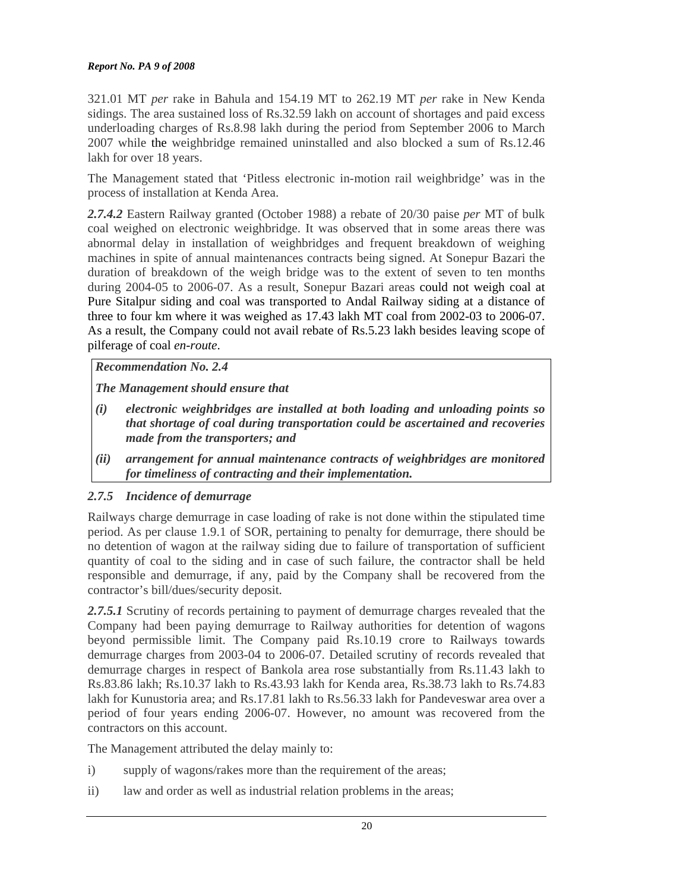#### *Report No. PA 9 of 2008*

321.01 MT *per* rake in Bahula and 154.19 MT to 262.19 MT *per* rake in New Kenda sidings. The area sustained loss of Rs.32.59 lakh on account of shortages and paid excess underloading charges of Rs.8.98 lakh during the period from September 2006 to March 2007 while the weighbridge remained uninstalled and also blocked a sum of Rs.12.46 lakh for over 18 years.

The Management stated that 'Pitless electronic in-motion rail weighbridge' was in the process of installation at Kenda Area.

*2.7.4.2* Eastern Railway granted (October 1988) a rebate of 20/30 paise *per* MT of bulk coal weighed on electronic weighbridge. It was observed that in some areas there was abnormal delay in installation of weighbridges and frequent breakdown of weighing machines in spite of annual maintenances contracts being signed. At Sonepur Bazari the duration of breakdown of the weigh bridge was to the extent of seven to ten months during 2004-05 to 2006-07. As a result, Sonepur Bazari areas could not weigh coal at Pure Sitalpur siding and coal was transported to Andal Railway siding at a distance of three to four km where it was weighed as 17.43 lakh MT coal from 2002-03 to 2006-07. As a result, the Company could not avail rebate of Rs.5.23 lakh besides leaving scope of pilferage of coal *en-route*.

*Recommendation No. 2.4* 

*The Management should ensure that* 

- *(i) electronic weighbridges are installed at both loading and unloading points so that shortage of coal during transportation could be ascertained and recoveries made from the transporters; and*
- *(ii) arrangement for annual maintenance contracts of weighbridges are monitored for timeliness of contracting and their implementation.*

# *2.7.5 Incidence of demurrage*

Railways charge demurrage in case loading of rake is not done within the stipulated time period. As per clause 1.9.1 of SOR, pertaining to penalty for demurrage, there should be no detention of wagon at the railway siding due to failure of transportation of sufficient quantity of coal to the siding and in case of such failure, the contractor shall be held responsible and demurrage, if any, paid by the Company shall be recovered from the contractor's bill/dues/security deposit.

*2.7.5.1* Scrutiny of records pertaining to payment of demurrage charges revealed that the Company had been paying demurrage to Railway authorities for detention of wagons beyond permissible limit. The Company paid Rs.10.19 crore to Railways towards demurrage charges from 2003-04 to 2006-07. Detailed scrutiny of records revealed that demurrage charges in respect of Bankola area rose substantially from Rs.11.43 lakh to Rs.83.86 lakh; Rs.10.37 lakh to Rs.43.93 lakh for Kenda area, Rs.38.73 lakh to Rs.74.83 lakh for Kunustoria area; and Rs.17.81 lakh to Rs.56.33 lakh for Pandeveswar area over a period of four years ending 2006-07. However, no amount was recovered from the contractors on this account.

The Management attributed the delay mainly to:

- i) supply of wagons/rakes more than the requirement of the areas;
- ii) law and order as well as industrial relation problems in the areas;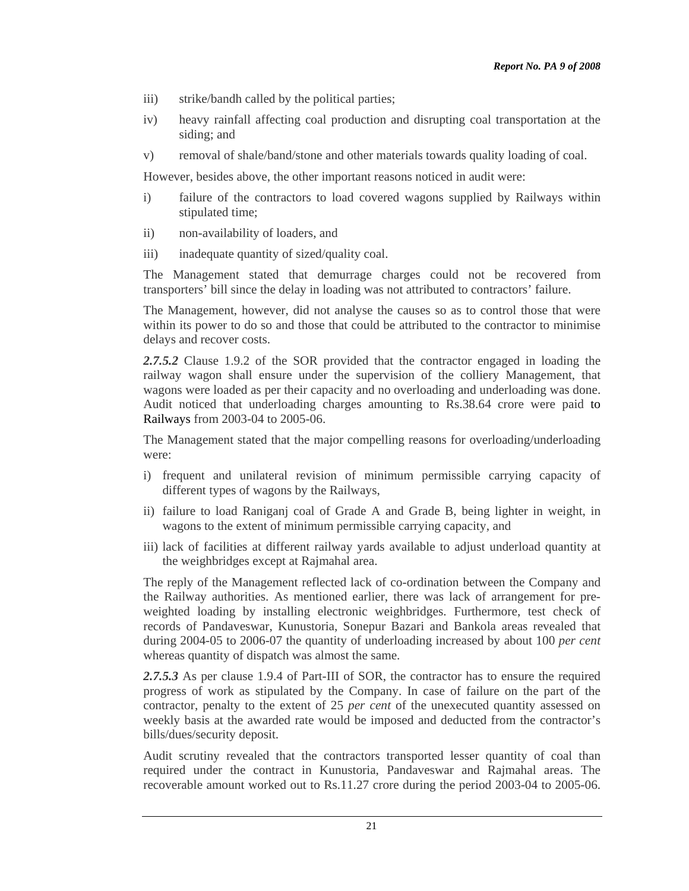- iii) strike/bandh called by the political parties;
- iv) heavy rainfall affecting coal production and disrupting coal transportation at the siding; and
- v) removal of shale/band/stone and other materials towards quality loading of coal.

However, besides above, the other important reasons noticed in audit were:

- i) failure of the contractors to load covered wagons supplied by Railways within stipulated time;
- ii) non-availability of loaders, and
- iii) inadequate quantity of sized/quality coal.

The Management stated that demurrage charges could not be recovered from transporters' bill since the delay in loading was not attributed to contractors' failure.

The Management, however, did not analyse the causes so as to control those that were within its power to do so and those that could be attributed to the contractor to minimise delays and recover costs.

*2.7.5.2* Clause 1.9.2 of the SOR provided that the contractor engaged in loading the railway wagon shall ensure under the supervision of the colliery Management, that wagons were loaded as per their capacity and no overloading and underloading was done. Audit noticed that underloading charges amounting to Rs.38.64 crore were paid to Railways from 2003-04 to 2005-06.

The Management stated that the major compelling reasons for overloading/underloading were:

- i) frequent and unilateral revision of minimum permissible carrying capacity of different types of wagons by the Railways,
- ii) failure to load Raniganj coal of Grade A and Grade B, being lighter in weight, in wagons to the extent of minimum permissible carrying capacity, and
- iii) lack of facilities at different railway yards available to adjust underload quantity at the weighbridges except at Rajmahal area.

The reply of the Management reflected lack of co-ordination between the Company and the Railway authorities. As mentioned earlier, there was lack of arrangement for preweighted loading by installing electronic weighbridges. Furthermore, test check of records of Pandaveswar, Kunustoria, Sonepur Bazari and Bankola areas revealed that during 2004-05 to 2006-07 the quantity of underloading increased by about 100 *per cent* whereas quantity of dispatch was almost the same.

*2.7.5.3* As per clause 1.9.4 of Part-III of SOR, the contractor has to ensure the required progress of work as stipulated by the Company. In case of failure on the part of the contractor, penalty to the extent of 25 *per cent* of the unexecuted quantity assessed on weekly basis at the awarded rate would be imposed and deducted from the contractor's bills/dues/security deposit.

Audit scrutiny revealed that the contractors transported lesser quantity of coal than required under the contract in Kunustoria, Pandaveswar and Rajmahal areas. The recoverable amount worked out to Rs.11.27 crore during the period 2003-04 to 2005-06.